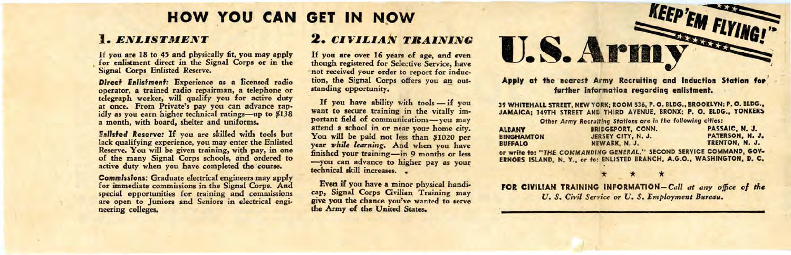# **HOW YOU CAN GET IN NOW**

#### 1. *ENLISTMENT*

If you are 18 to *45* and physically fit, you may apply for enlistment direct in the Signal Corps or in the Signal Corps Enlisted Reserve.

**Direct Enlistment:** Experience **as a** licensed radio operator, **a** trained radio repairman, a telephone or telegraph worker; will qualify you for active duty at once. From Private's pay you can advance rapidly as you earn higher technical ratings-up to \$138 a month, with board, shelter and uniforms.

**Enlisted Reserve:** If you are skilled with tools but lack qualifying experience, you may enter the Enlisted Reserve. You will be given training, with pay, in one of the many Signal Corps schools, and ordered to active duty when you have completed the course.

**Commissions:** Graduate electrical engineers may apply for immediate commissions in the Signal Corps. And special opportunities for training and commissions are open to Juniors and Seniors in electrical engineering colleges,

### **2.** *CIVILIAN TRAINING*

If you **are** over 16 years of age, and even though registered for Selective Service, have not received your order to report for induction, the Signal Corps offers you an out• standing opportunity.

If you have ability with tools - if you want to secure training in the vitally important field of communications-you may attend a school in or near your home city. You will be paid not less than \$1020 per year *while learning.* And when you have finished your training-in 9 months or less -you can advance to higher pay as your technical skill increases. •

Even if you have **a** minor physical handicap, Signal Corps Civilian Training may give you the chance you've wanted to serve the Army of the United States.

**EMFLYING! U.S. ARMY** Apply at the nearest Army Recruiting and Induction Station for

further information regarding enlistment.

39 WHITEHALL STREET, NEW YORK: ROOM 536, P.O. BLDG. , BROOKLYN: **P. 0 .** BLDG., JAMAICA; 149TH STREET ANC THIRD AVENUE, BRONX; P. O. BLDG., YONKERS *Other Army* Recruiting Stations are in *the* following cities:

|                                                                     | <b>Uther Army Recruiting Stations are in the Tonowing Cities:</b>       |                 |
|---------------------------------------------------------------------|-------------------------------------------------------------------------|-----------------|
| <b>ALBANY</b>                                                       | <b>BRIDGEPORT, CONN.</b>                                                | PASSAIC, N. J.  |
| <b>BINGHAMTON</b>                                                   | JERSEY CITY, N. J.                                                      | PATERSON, N. J. |
| <b>BUFFALO</b>                                                      | NEWARK, N. J.                                                           | TRENTON, N. J.  |
| or write to: "THE COMMANDING GENERAL." SECOND SERVICE COMMAND, GOV- |                                                                         |                 |
|                                                                     | ERNORS ISLAND, N. Y., or fo: ENLISTED BRANCH, A.G.O., WASHINGTON, D. C. |                 |

FOR CIVILIAN TRAINING INFORMATION-Call at any office of the *U. S. Civil Service or U. S. Employment Bureau.*